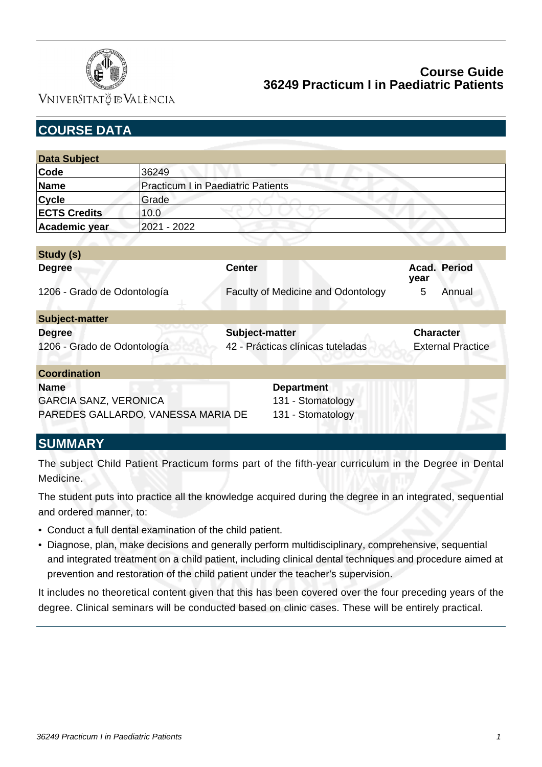

VNIVERSITATÖ ID VALÈNCIA

| <b>COURSE DATA</b>                 |                                           |                                    |                          |
|------------------------------------|-------------------------------------------|------------------------------------|--------------------------|
| <b>Data Subject</b>                |                                           |                                    |                          |
| Code                               | 36249                                     |                                    |                          |
| <b>Name</b>                        | <b>Practicum I in Paediatric Patients</b> |                                    |                          |
| <b>Cycle</b>                       | Grade                                     |                                    |                          |
| <b>ECTS Credits</b>                | 10.0                                      |                                    |                          |
| Academic year                      | 2021 - 2022                               |                                    |                          |
|                                    |                                           |                                    |                          |
| Study (s)                          |                                           |                                    |                          |
| <b>Degree</b>                      |                                           | <b>Center</b>                      | Acad. Period<br>year     |
| 1206 - Grado de Odontología        |                                           | Faculty of Medicine and Odontology | 5<br>Annual              |
| <b>Subject-matter</b>              |                                           |                                    |                          |
| <b>Degree</b>                      |                                           | Subject-matter                     | <b>Character</b>         |
| 1206 - Grado de Odontología        |                                           | 42 - Prácticas clínicas tuteladas  | <b>External Practice</b> |
| <b>Coordination</b>                |                                           |                                    |                          |
| <b>Name</b>                        |                                           | <b>Department</b>                  |                          |
| <b>GARCIA SANZ, VERONICA</b>       |                                           | 131 - Stomatology                  |                          |
| PAREDES GALLARDO, VANESSA MARIA DE |                                           | 131 - Stomatology                  |                          |
| . <i>.</i>                         |                                           |                                    |                          |

# **SUMMARY**

The subject Child Patient Practicum forms part of the fifth-year curriculum in the Degree in Dental Medicine.

The student puts into practice all the knowledge acquired during the degree in an integrated, sequential and ordered manner, to:

- Conduct a full dental examination of the child patient.
- Diagnose, plan, make decisions and generally perform multidisciplinary, comprehensive, sequential and integrated treatment on a child patient, including clinical dental techniques and procedure aimed at prevention and restoration of the child patient under the teacher's supervision.

It includes no theoretical content given that this has been covered over the four preceding years of the degree. Clinical seminars will be conducted based on clinic cases. These will be entirely practical.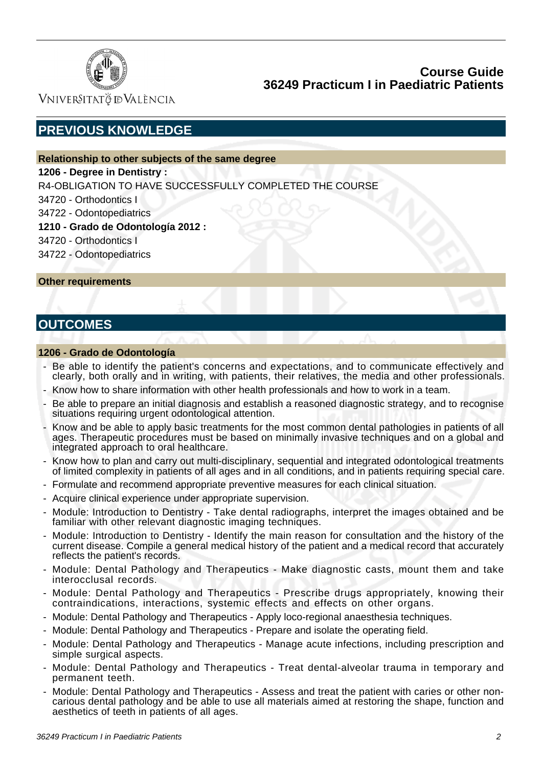

Vniver§itatğ dValència

# **PREVIOUS KNOWLEDGE**

### **Relationship to other subjects of the same degree**

#### **1206 - Degree in Dentistry :**

R4-OBLIGATION TO HAVE SUCCESSFULLY COMPLETED THE COURSE

 34720 - Orthodontics I

 34722 - Odontopediatrics

### **1210 - Grado de Odontología 2012 :**

 34720 - Orthodontics I

 34722 - Odontopediatrics

**Other requirements**

# **OUTCOMES**

#### **1206 - Grado de Odontología**

- Be able to identify the patient's concerns and expectations, and to communicate effectively and clearly, both orally and in writing, with patients, their relatives, the media and other professionals.
- Know how to share information with other health professionals and how to work in a team.
- Be able to prepare an initial diagnosis and establish a reasoned diagnostic strategy, and to recognise situations requiring urgent odontological attention.
- Know and be able to apply basic treatments for the most common dental pathologies in patients of all ages. Therapeutic procedures must be based on minimally invasive techniques and on a global and integrated approach to oral healthcare.
- Know how to plan and carry out multi-disciplinary, sequential and integrated odontological treatments of limited complexity in patients of all ages and in all conditions, and in patients requiring special care.
- Formulate and recommend appropriate preventive measures for each clinical situation.
- Acquire clinical experience under appropriate supervision.
- Module: Introduction to Dentistry Take dental radiographs, interpret the images obtained and be familiar with other relevant diagnostic imaging techniques.
- Module: Introduction to Dentistry Identify the main reason for consultation and the history of the current disease. Compile a general medical history of the patient and a medical record that accurately reflects the patient's records.
- Module: Dental Pathology and Therapeutics Make diagnostic casts, mount them and take interocclusal records.
- Module: Dental Pathology and Therapeutics Prescribe drugs appropriately, knowing their contraindications, interactions, systemic effects and effects on other organs.
- Module: Dental Pathology and Therapeutics Apply loco-regional anaesthesia techniques.
- Module: Dental Pathology and Therapeutics Prepare and isolate the operating field.
- Module: Dental Pathology and Therapeutics Manage acute infections, including prescription and simple surgical aspects.
- Module: Dental Pathology and Therapeutics Treat dental-alveolar trauma in temporary and permanent teeth.
- Module: Dental Pathology and Therapeutics Assess and treat the patient with caries or other noncarious dental pathology and be able to use all materials aimed at restoring the shape, function and aesthetics of teeth in patients of all ages.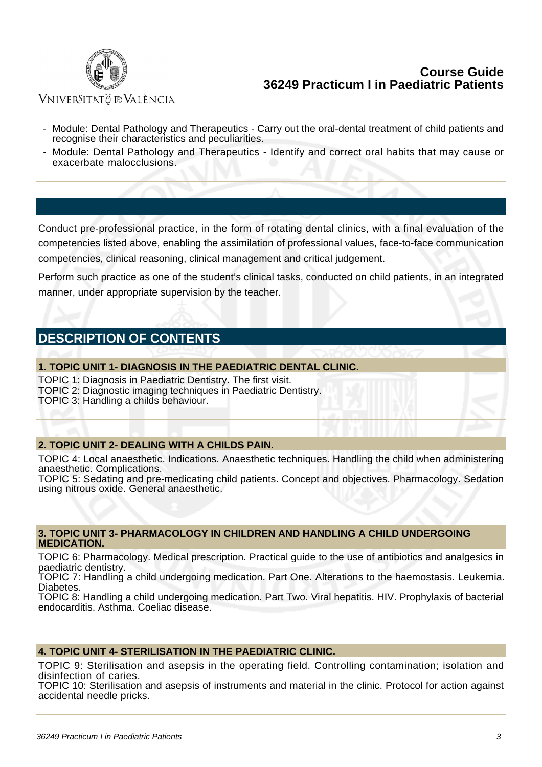

## VNIVERSITATÖ ID VALÈNCIA

- Module: Dental Pathology and Therapeutics Carry out the oral-dental treatment of child patients and recognise their characteristics and peculiarities.
- Module: Dental Pathology and Therapeutics Identify and correct oral habits that may cause or exacerbate malocclusions.

Conduct pre-professional practice, in the form of rotating dental clinics, with a final evaluation of the competencies listed above, enabling the assimilation of professional values, face-to-face communication competencies, clinical reasoning, clinical management and critical judgement.

Perform such practice as one of the student's clinical tasks, conducted on child patients, in an integrated manner, under appropriate supervision by the teacher.

# **DESCRIPTION OF CONTENTS**

#### **1. TOPIC UNIT 1- DIAGNOSIS IN THE PAEDIATRIC DENTAL CLINIC.**

TOPIC 1: Diagnosis in Paediatric Dentistry. The first visit. TOPIC 2: Diagnostic imaging techniques in Paediatric Dentistry.

TOPIC 3: Handling a childs behaviour.

#### **2. TOPIC UNIT 2- DEALING WITH A CHILDS PAIN.**

TOPIC 4: Local anaesthetic. Indications. Anaesthetic techniques. Handling the child when administering anaesthetic. Complications.

TOPIC 5: Sedating and pre-medicating child patients. Concept and objectives. Pharmacology. Sedation using nitrous oxide. General anaesthetic.

#### **3. TOPIC UNIT 3- PHARMACOLOGY IN CHILDREN AND HANDLING A CHILD UNDERGOING MEDICATION.**

TOPIC 6: Pharmacology. Medical prescription. Practical guide to the use of antibiotics and analgesics in paediatric dentistry.

TOPIC 7: Handling a child undergoing medication. Part One. Alterations to the haemostasis. Leukemia. Diabetes.

TOPIC 8: Handling a child undergoing medication. Part Two. Viral hepatitis. HIV. Prophylaxis of bacterial endocarditis. Asthma. Coeliac disease.

#### **4. TOPIC UNIT 4- STERILISATION IN THE PAEDIATRIC CLINIC.**

TOPIC 9: Sterilisation and asepsis in the operating field. Controlling contamination; isolation and disinfection of caries.

TOPIC 10: Sterilisation and asepsis of instruments and material in the clinic. Protocol for action against accidental needle pricks.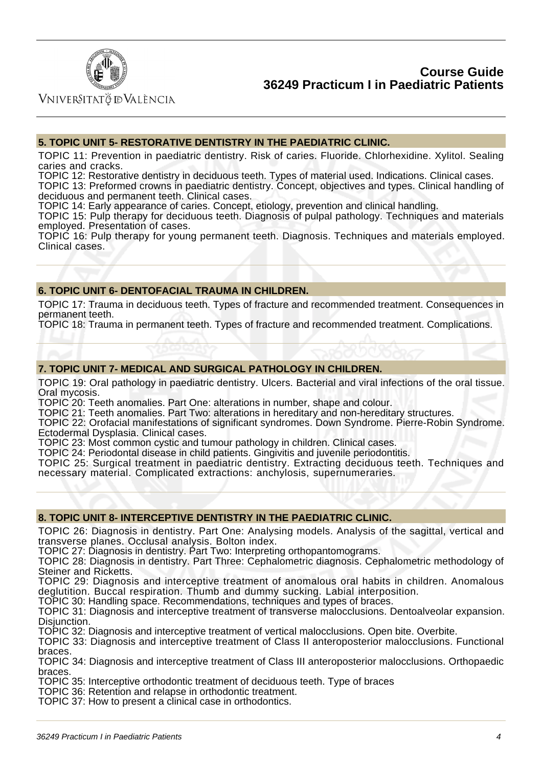

Vniver§itatğ dValència

#### **5. TOPIC UNIT 5- RESTORATIVE DENTISTRY IN THE PAEDIATRIC CLINIC.**

TOPIC 11: Prevention in paediatric dentistry. Risk of caries. Fluoride. Chlorhexidine. Xylitol. Sealing caries and cracks.

TOPIC 12: Restorative dentistry in deciduous teeth. Types of material used. Indications. Clinical cases. TOPIC 13: Preformed crowns in paediatric dentistry. Concept, objectives and types. Clinical handling of deciduous and permanent teeth. Clinical cases.

TOPIC 14: Early appearance of caries. Concept, etiology, prevention and clinical handling.

TOPIC 15: Pulp therapy for deciduous teeth. Diagnosis of pulpal pathology. Techniques and materials employed. Presentation of cases.

TOPIC 16: Pulp therapy for young permanent teeth. Diagnosis. Techniques and materials employed. Clinical cases.

#### **6. TOPIC UNIT 6- DENTOFACIAL TRAUMA IN CHILDREN.**

TOPIC 17: Trauma in deciduous teeth. Types of fracture and recommended treatment. Consequences in permanent teeth.

TOPIC 18: Trauma in permanent teeth. Types of fracture and recommended treatment. Complications.

#### **7. TOPIC UNIT 7- MEDICAL AND SURGICAL PATHOLOGY IN CHILDREN.**

TOPIC 19: Oral pathology in paediatric dentistry. Ulcers. Bacterial and viral infections of the oral tissue. Oral mycosis.

TOPIC 20: Teeth anomalies. Part One: alterations in number, shape and colour.

TOPIC 21: Teeth anomalies. Part Two: alterations in hereditary and non-hereditary structures.

TOPIC 22: Orofacial manifestations of significant syndromes. Down Syndrome. Pierre-Robin Syndrome. Ectodermal Dysplasia. Clinical cases.

TOPIC 23: Most common cystic and tumour pathology in children. Clinical cases.

TOPIC 24: Periodontal disease in child patients. Gingivitis and juvenile periodontitis.

TOPIC 25: Surgical treatment in paediatric dentistry. Extracting deciduous teeth. Techniques and necessary material. Complicated extractions: anchylosis, supernumeraries.

#### **8. TOPIC UNIT 8- INTERCEPTIVE DENTISTRY IN THE PAEDIATRIC CLINIC.**

TOPIC 26: Diagnosis in dentistry. Part One: Analysing models. Analysis of the sagittal, vertical and transverse planes. Occlusal analysis. Bolton index.

TOPIC 27: Diagnosis in dentistry. Part Two: Interpreting orthopantomograms.

TOPIC 28: Diagnosis in dentistry. Part Three: Cephalometric diagnosis. Cephalometric methodology of Steiner and Ricketts.

TOPIC 29: Diagnosis and interceptive treatment of anomalous oral habits in children. Anomalous deglutition. Buccal respiration. Thumb and dummy sucking. Labial interposition.

TOPIC 30: Handling space. Recommendations, techniques and types of braces.

TOPIC 31: Diagnosis and interceptive treatment of transverse malocclusions. Dentoalveolar expansion. Disiunction.

TOPIC 32: Diagnosis and interceptive treatment of vertical malocclusions. Open bite. Overbite.

TOPIC 33: Diagnosis and interceptive treatment of Class II anteroposterior malocclusions. Functional braces.

TOPIC 34: Diagnosis and interceptive treatment of Class III anteroposterior malocclusions. Orthopaedic braces.

TOPIC 35: Interceptive orthodontic treatment of deciduous teeth. Type of braces

TOPIC 36: Retention and relapse in orthodontic treatment.

TOPIC 37: How to present a clinical case in orthodontics.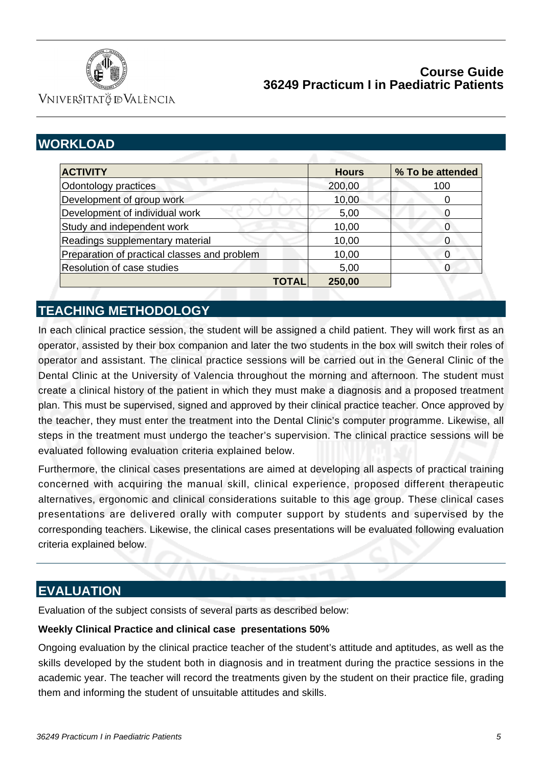

VNIVERSITATÖ ID VALÈNCIA

# **WORKLOAD**

| <b>ACTIVITY</b>                              | <b>Hours</b> | % To be attended |
|----------------------------------------------|--------------|------------------|
| Odontology practices                         | 200,00       | 100              |
| Development of group work                    | 10,00        |                  |
| Development of individual work               | 5,00         | C                |
| Study and independent work                   | 10,00        | 0                |
| Readings supplementary material              | 10,00        | 0                |
| Preparation of practical classes and problem | 10,00        | 0                |
| Resolution of case studies                   | 5,00         |                  |
| TOTAL                                        | 250,00       |                  |

# **TEACHING METHODOLOGY**

In each clinical practice session, the student will be assigned a child patient. They will work first as an operator, assisted by their box companion and later the two students in the box will switch their roles of operator and assistant. The clinical practice sessions will be carried out in the General Clinic of the Dental Clinic at the University of Valencia throughout the morning and afternoon. The student must create a clinical history of the patient in which they must make a diagnosis and a proposed treatment plan. This must be supervised, signed and approved by their clinical practice teacher. Once approved by the teacher, they must enter the treatment into the Dental Clinic's computer programme. Likewise, all steps in the treatment must undergo the teacher's supervision. The clinical practice sessions will be evaluated following evaluation criteria explained below.

Furthermore, the clinical cases presentations are aimed at developing all aspects of practical training concerned with acquiring the manual skill, clinical experience, proposed different therapeutic alternatives, ergonomic and clinical considerations suitable to this age group. These clinical cases presentations are delivered orally with computer support by students and supervised by the corresponding teachers. Likewise, the clinical cases presentations will be evaluated following evaluation criteria explained below.

# **EVALUATION**

Evaluation of the subject consists of several parts as described below:

### **Weekly Clinical Practice and clinical case presentations 50%**

Ongoing evaluation by the clinical practice teacher of the student's attitude and aptitudes, as well as the skills developed by the student both in diagnosis and in treatment during the practice sessions in the academic year. The teacher will record the treatments given by the student on their practice file, grading them and informing the student of unsuitable attitudes and skills.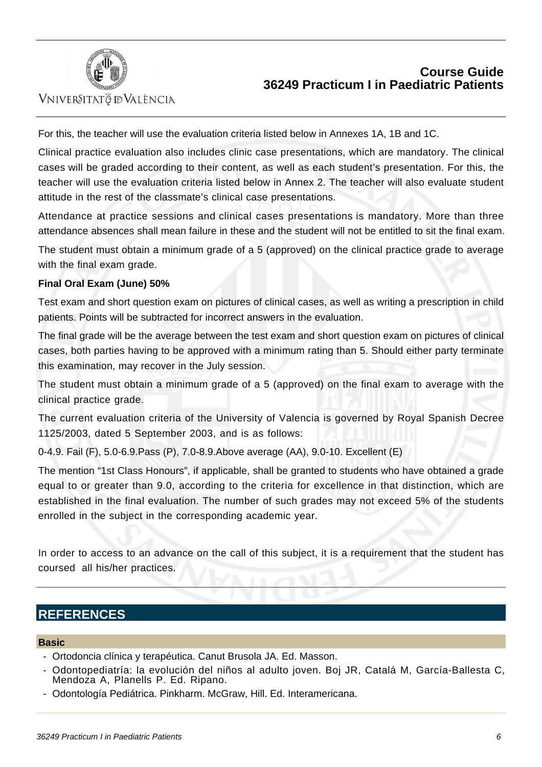

VNIVERSITATÖ ID VALÈNCIA

For this, the teacher will use the evaluation criteria listed below in Annexes 1A, 1B and 1C.

Clinical practice evaluation also includes clinic case presentations, which are mandatory. The clinical cases will be graded according to their content, as well as each student's presentation. For this, the teacher will use the evaluation criteria listed below in Annex 2. The teacher will also evaluate student attitude in the rest of the classmate's clinical case presentations.

Attendance at practice sessions and clinical cases presentations is mandatory. More than three attendance absences shall mean failure in these and the student will not be entitled to sit the final exam.

The student must obtain a minimum grade of a 5 (approved) on the clinical practice grade to average with the final exam grade.

### **Final Oral Exam (June) 50%**

Test exam and short question exam on pictures of clinical cases, as well as writing a prescription in child patients. Points will be subtracted for incorrect answers in the evaluation.

The final grade will be the average between the test exam and short question exam on pictures of clinical cases, both parties having to be approved with a minimum rating than 5. Should either party terminate this examination, may recover in the July session.

The student must obtain a minimum grade of a 5 (approved) on the final exam to average with the clinical practice grade.

The current evaluation criteria of the University of Valencia is governed by Royal Spanish Decree 1125/2003, dated 5 September 2003, and is as follows:

0-4.9. Fail (F), 5.0-6.9.Pass (P), 7.0-8.9.Above average (AA), 9.0-10. Excellent (E)

The mention "1st Class Honours", if applicable, shall be granted to students who have obtained a grade equal to or greater than 9.0, according to the criteria for excellence in that distinction, which are established in the final evaluation. The number of such grades may not exceed 5% of the students enrolled in the subject in the corresponding academic year.

In order to access to an advance on the call of this subject, it is a requirement that the student has coursed all his/her practices.

## **REFERENCES**

#### **Basic**

- Ortodoncia clínica y terapéutica. Canut Brusola JA. Ed. Masson.
- Odontopediatría: la evolución del niños al adulto joven. Boj JR, Catalá M, García-Ballesta C, Mendoza A, Planells P. Ed. Ripano.
- Odontología Pediátrica. Pinkharm. McGraw, Hill. Ed. Interamericana.